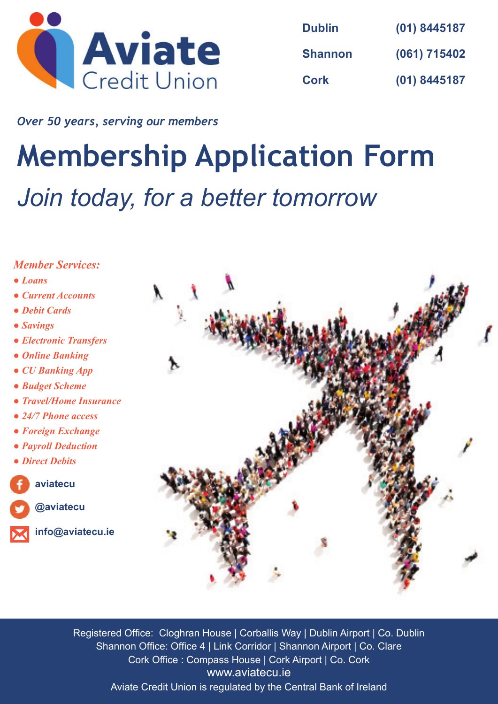

| <b>Dublin</b>  | (01) 8445187   |
|----------------|----------------|
| <b>Shannon</b> | $(061)$ 715402 |
| Cork           | (01) 8445187   |

*Over 50 years, serving our members*

# **Membership Application Form** *Join today, for a better tomorrow*

*Member Services:*

- *Loans*
- *Current Accounts*
- *Debit Cards*
- *Savings*
- *Electronic Transfers*
- *Online Banking*
- *CU Banking App*
- *Budget Scheme*
- *Travel/Home Insurance*
- *24/7 Phone access*
- *Foreign Exchange*
- *Payroll Deduction*
- *Direct Debits*

**aviatecu**

**@aviatecu**

**info@aviatecu.ie**



Registered Office: Cloghran House | Corballis Way | Dublin Airport | Co. Dublin Shannon Office: Office 4 | Link Corridor | Shannon Airport | Co. Clare Cork Office : Compass House | Cork Airport | Co. Cork www.aviatecu.ie Aviate Credit Union is regulated by the Central Bank of Ireland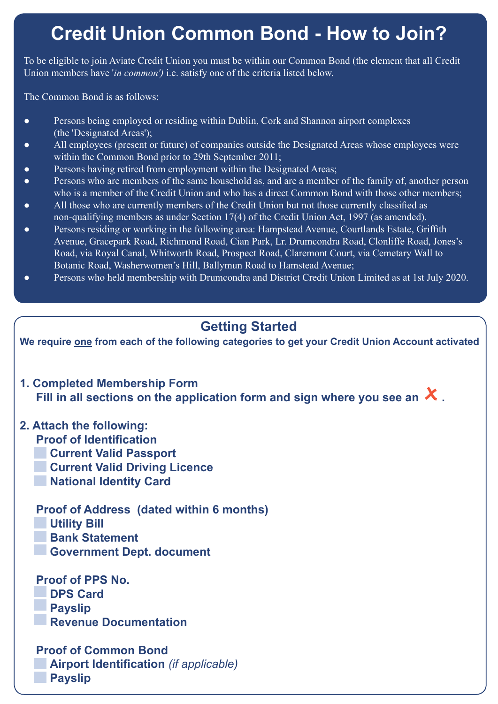# **Credit Union Common Bond - How to Join?**

To be eligible to join Aviate Credit Union you must be within our Common Bond (the element that all Credit Union members have '*in common')* i.e. satisfy one of the criteria listed below.

The Common Bond is as follows:

- Persons being employed or residing within Dublin, Cork and Shannon airport complexes (the 'Designated Areas');
- All employees (present or future) of companies outside the Designated Areas whose employees were within the Common Bond prior to 29th September 2011;
- Persons having retired from employment within the Designated Areas;
- Persons who are members of the same household as, and are a member of the family of, another person who is a member of the Credit Union and who has a direct Common Bond with those other members;
- All those who are currently members of the Credit Union but not those currently classified as non-qualifying members as under Section 17(4) of the Credit Union Act, 1997 (as amended).
- Persons residing or working in the following area: Hampstead Avenue, Courtlands Estate, Griffith Avenue, Gracepark Road, Richmond Road, Cian Park, Lr. Drumcondra Road, Clonliffe Road, Jones's Road, via Royal Canal, Whitworth Road, Prospect Road, Claremont Court, via Cemetary Wall to Botanic Road, Washerwomen's Hill, Ballymun Road to Hamstead Avenue;
- Persons who held membership with Drumcondra and District Credit Union Limited as at 1st July 2020.

### **Getting Started**

We require one from each of the following categories to get your Credit Union Account activated

- **1. Completed Membership Form** Fill in all sections on the application form and sign where you see an  $\bm{X}$  .
- **2. Attach the following:**

 **Proof of Identification**

- **Current Valid Passport**
- **Current Valid Driving Licence**
- **National Identity Card**

 **Proof of Address (dated within 6 months) Utility Bill Bank Statement** 

**Government Dept. document**

 **Proof of PPS No. DPS Card Payslip Revenue Documentation**

 **Proof of Common Bond Airport Identification** *(if applicable)* **Payslip**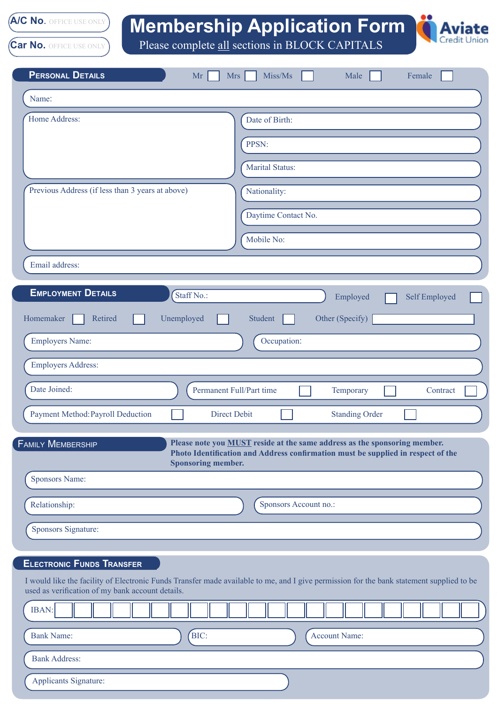**A/C No. OFFICE USE ONLY** 

*Car No.* OFFICE USE ONLY

# **Membership Application Form**





| <b>PERSONAL DETAILS</b><br>Miss/Ms<br>Female<br>Mrs<br>Male<br>Mr                                                                                                                                |
|--------------------------------------------------------------------------------------------------------------------------------------------------------------------------------------------------|
| Name:                                                                                                                                                                                            |
| Home Address:<br>Date of Birth:                                                                                                                                                                  |
| PPSN:                                                                                                                                                                                            |
| Marital Status:                                                                                                                                                                                  |
| Previous Address (if less than 3 years at above)<br>Nationality:                                                                                                                                 |
| Daytime Contact No.                                                                                                                                                                              |
| Mobile No:                                                                                                                                                                                       |
|                                                                                                                                                                                                  |
| Email address:                                                                                                                                                                                   |
| <b>EMPLOYMENT DETAILS</b><br>Staff No.:<br>Employed<br>Self Employed                                                                                                                             |
| Homemaker<br>Other (Specify)<br>Unemployed<br>Student<br>Retired                                                                                                                                 |
| <b>Employers Name:</b><br>Occupation:                                                                                                                                                            |
| <b>Employers Address:</b>                                                                                                                                                                        |
| Date Joined:<br>Permanent Full/Part time<br>Temporary<br>Contract                                                                                                                                |
| Payment Method: Payroll Deduction<br><b>Direct Debit</b><br><b>Standing Order</b>                                                                                                                |
|                                                                                                                                                                                                  |
| <b>FAMILY MEMBERSHIP</b><br>Please note you <b>MUST</b> reside at the same address as the sponsoring member.<br>Photo Identification and Address confirmation must be supplied in respect of the |
| <b>Sponsoring member.</b><br>Sponsors Name:                                                                                                                                                      |
| Sponsors Account no.:<br>Relationship:                                                                                                                                                           |
|                                                                                                                                                                                                  |
| Sponsors Signature:                                                                                                                                                                              |
| <b>ELECTRONIC FUNDS TRANSFER</b>                                                                                                                                                                 |
| I would like the facility of Electronic Funds Transfer made available to me, and I give permission for the bank statement supplied to be<br>used as verification of my bank account details.     |
| IBAN:                                                                                                                                                                                            |
| BIC:<br><b>Bank Name:</b><br><b>Account Name:</b>                                                                                                                                                |
| <b>Bank Address:</b>                                                                                                                                                                             |
| Applicants Signature:                                                                                                                                                                            |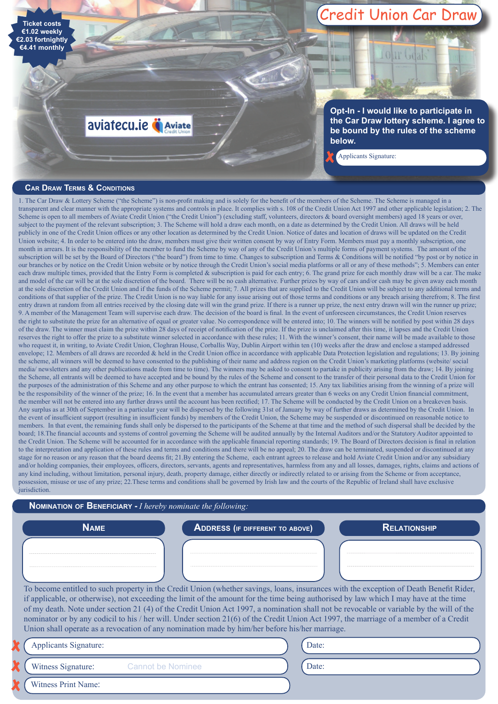**Ticket costs €1.02 weekly €2.03 fortnightly €4.41 monthly**

## Credit Union Car Draw



**Opt-In - I would like to participate in the Car Draw lottery scheme. I agree to be bound by the rules of the scheme below.** 

Applicants Signature:

#### **Car Draw Terms & Conditions**

aviatecu.ie *i* Aviate

**Nomination of Beneficiary -** *I hereby nominate the following:*

1. The Car Draw & Lottery Scheme ("the Scheme") is non-profit making and is solely for the benefit of the members of the Scheme. The Scheme is managed in a transparent and clear manner with the appropriate systems and controls in place. It complies with s. 108 of the Credit Union Act 1997 and other applicable legislation; 2. The Scheme is open to all members of Aviate Credit Union ("the Credit Union") (excluding staff, volunteers, directors & board oversight members) aged 18 years or over, subject to the payment of the relevant subscription; 3. The Scheme will hold a draw each month, on a date as determined by the Credit Union. All draws will be held publicly in one of the Credit Union offices or any other location as determined by the Credit Union. Notice of dates and location of draws will be updated on the Credit Union website; 4. In order to be entered into the draw, members must give their written consent by way of Entry Form. Members must pay a monthly subscription, one month in arrears. It is the responsibility of the member to fund the Scheme by way of any of the Credit Union's multiple forms of payment systems. The amount of the subscription will be set by the Board of Directors ("the board") from time to time. Changes to subscription and Terms & Conditions will be notified "by post or by notice in our branches or by notice on the Credit Union website or by notice through the Credit Union's social media platforms or all or any of these methods"; 5. Members can enter each draw multiple times, provided that the Entry Form is completed & subscription is paid for each entry; 6. The grand prize for each monthly draw will be a car. The make and model of the car will be at the sole discretion of the board. There will be no cash alternative. Further prizes by way of cars and/or cash may be given away each month at the sole discretion of the Credit Union and if the funds of the Scheme permit; 7. All prizes that are supplied to the Credit Union will be subject to any additional terms and conditions of that supplier of the prize. The Credit Union is no way liable for any issue arising out of those terms and conditions or any breach arising therefrom; 8. The first entry drawn at random from all entries received by the closing date will win the grand prize. If there is a runner up prize, the next entry drawn will win the runner up prize; 9. A member of the Management Team will supervise each draw. The decision of the board is final. In the event of unforeseen circumstances, the Credit Union reserves the right to substitute the prize for an alternative of equal or greater value. No correspondence will be entered into; 10. The winners will be notified by post within 28 days of the draw. The winner must claim the prize within 28 days of receipt of notification of the prize. If the prize is unclaimed after this time, it lapses and the Credit Union reserves the right to offer the prize to a substitute winner selected in accordance with these rules; 11. With the winner's consent, their name will be made available to those who request it, in writing, to Aviate Credit Union, Cloghran House, Corballis Way, Dublin Airport within ten (10) weeks after the draw and enclose a stamped addressed envelope; 12. Members of all draws are recorded & held in the Credit Union office in accordance with applicable Data Protection legislation and regulations; 13. By joining the scheme, all winners will be deemed to have consented to the publishing of their name and address region on the Credit Union's marketing platforms (website/ social media/ newsletters and any other publications made from time to time). The winners may be asked to consent to partake in publicity arising from the draw; 14. By joining the Scheme, all entrants will be deemed to have accepted and be bound by the rules of the Scheme and consent to the transfer of their personal data to the Credit Union for the purposes of the administration of this Scheme and any other purpose to which the entrant has consented; 15. Any tax liabilities arising from the winning of a prize will be the responsibility of the winner of the prize; 16. In the event that a member has accumulated arrears greater than 6 weeks on any Credit Union financial commitment, the member will not be entered into any further draws until the account has been rectified; 17. The Scheme will be conducted by the Credit Union on a breakeven basis. Any surplus as at 30th of September in a particular year will be dispersed by the following 31st of January by way of further draws as determined by the Credit Union. In the event of insufficient support (resulting in insufficient funds) by members of the Credit Union, the Scheme may be suspended or discontinued on reasonable notice to members. In that event, the remaining funds shall only be dispersed to the participants of the Scheme at that time and the method of such dispersal shall be decided by the board; 18.The financial accounts and systems of control governing the Scheme will be audited annually by the Internal Auditors and/or the Statutory Auditor appointed to the Credit Union. The Scheme will be accounted for in accordance with the applicable financial reporting standards; 19. The Board of Directors decision is final in relation to the interpretation and application of these rules and terms and conditions and there will be no appeal; 20. The draw can be terminated, suspended or discontinued at any stage for no reason or any reason that the board deems fit; 21.By entering the Scheme, each entrant agrees to release and hold Aviate Credit Union and/or any subsidiary and/or holding companies, their employees, officers, directors, servants, agents and representatives, harmless from any and all losses, damages, rights, claims and actions of any kind including, without limitation, personal injury, death, property damage, either directly or indirectly related to or arising from the Scheme or from acceptance, possession, misuse or use of any prize; 22.These terms and conditions shall be governed by Irish law and the courts of the Republic of Ireland shall have exclusive jurisdiction.

| $\bullet$ interest of $\bullet$ is the total to the $\bullet$ interest $\bullet$ is not the policity.                                                                                                                                                                                                                                                                                                                                                                                                                       |                                        |                                                                                                                                        |
|-----------------------------------------------------------------------------------------------------------------------------------------------------------------------------------------------------------------------------------------------------------------------------------------------------------------------------------------------------------------------------------------------------------------------------------------------------------------------------------------------------------------------------|----------------------------------------|----------------------------------------------------------------------------------------------------------------------------------------|
| <b>NAME</b>                                                                                                                                                                                                                                                                                                                                                                                                                                                                                                                 | <b>ADDRESS (IF DIFFERENT TO ABOVE)</b> | <b>RELATIONSHIP</b>                                                                                                                    |
|                                                                                                                                                                                                                                                                                                                                                                                                                                                                                                                             |                                        | To become entitled to such property in the Credit Union (whether savings, loans, insurances with the exception of Death Benefit Rider, |
| if applicable, or otherwise), not exceeding the limit of the amount for the time being authorised by law which I may have at the time<br>of my death. Note under section 21 (4) of the Credit Union Act 1997, a nomination shall not be revocable or variable by the will of the<br>nominator or by any codicil to his / her will. Under section 21(6) of the Credit Union Act 1997, the marriage of a member of a Credit<br>Union shall operate as a revocation of any nomination made by him/her before his/her marriage. |                                        |                                                                                                                                        |
| <b>Applicants Signature:</b>                                                                                                                                                                                                                                                                                                                                                                                                                                                                                                | Date:                                  |                                                                                                                                        |
| Witness Signature:<br><b>Cannot be Nominee</b>                                                                                                                                                                                                                                                                                                                                                                                                                                                                              | Date:                                  |                                                                                                                                        |
| <b>Witness Print Name:</b>                                                                                                                                                                                                                                                                                                                                                                                                                                                                                                  |                                        |                                                                                                                                        |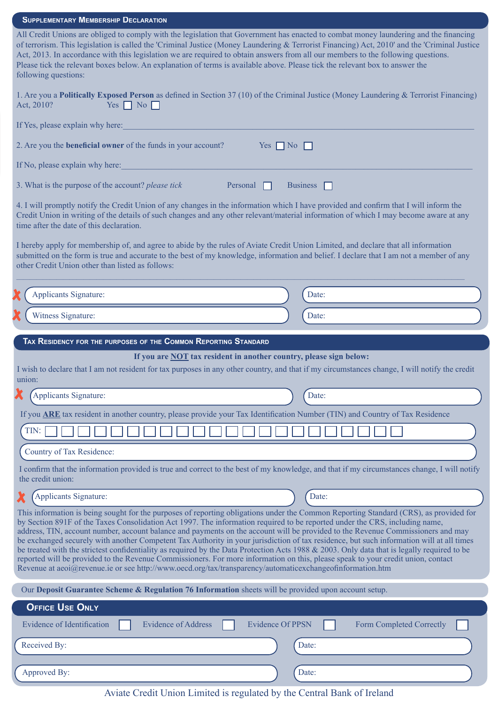#### **Supplementary Membership Declaration**

| All Credit Unions are obliged to comply with the legislation that Government has enacted to combat money laundering and the financing<br>of terrorism. This legislation is called the 'Criminal Justice (Money Laundering & Terrorist Financing) Act, 2010' and the 'Criminal Justice<br>Act, 2013. In accordance with this legislation we are required to obtain answers from all our members to the following questions.<br>Please tick the relevant boxes below. An explanation of terms is available above. Please tick the relevant box to answer the<br>following questions:                                                                                                                                                                                                                                                                                                                                                                  |                                                     |
|-----------------------------------------------------------------------------------------------------------------------------------------------------------------------------------------------------------------------------------------------------------------------------------------------------------------------------------------------------------------------------------------------------------------------------------------------------------------------------------------------------------------------------------------------------------------------------------------------------------------------------------------------------------------------------------------------------------------------------------------------------------------------------------------------------------------------------------------------------------------------------------------------------------------------------------------------------|-----------------------------------------------------|
| 1. Are you a Politically Exposed Person as defined in Section 37 (10) of the Criminal Justice (Money Laundering & Terrorist Financing)<br>Yes $\Box$ No $\Box$<br>Act, 2010?                                                                                                                                                                                                                                                                                                                                                                                                                                                                                                                                                                                                                                                                                                                                                                        |                                                     |
| If Yes, please explain why here:                                                                                                                                                                                                                                                                                                                                                                                                                                                                                                                                                                                                                                                                                                                                                                                                                                                                                                                    |                                                     |
| 2. Are you the <b>beneficial owner</b> of the funds in your account?                                                                                                                                                                                                                                                                                                                                                                                                                                                                                                                                                                                                                                                                                                                                                                                                                                                                                | Yes $\Box$ No $\Box$                                |
| If No, please explain why here:                                                                                                                                                                                                                                                                                                                                                                                                                                                                                                                                                                                                                                                                                                                                                                                                                                                                                                                     |                                                     |
| Personal<br>3. What is the purpose of the account? please tick                                                                                                                                                                                                                                                                                                                                                                                                                                                                                                                                                                                                                                                                                                                                                                                                                                                                                      | <b>Business</b><br>I I<br>1 I                       |
| 4. I will promptly notify the Credit Union of any changes in the information which I have provided and confirm that I will inform the<br>Credit Union in writing of the details of such changes and any other relevant/material information of which I may become aware at any<br>time after the date of this declaration.<br>I hereby apply for membership of, and agree to abide by the rules of Aviate Credit Union Limited, and declare that all information                                                                                                                                                                                                                                                                                                                                                                                                                                                                                    |                                                     |
| submitted on the form is true and accurate to the best of my knowledge, information and belief. I declare that I am not a member of any<br>other Credit Union other than listed as follows:                                                                                                                                                                                                                                                                                                                                                                                                                                                                                                                                                                                                                                                                                                                                                         |                                                     |
| <b>Applicants Signature:</b>                                                                                                                                                                                                                                                                                                                                                                                                                                                                                                                                                                                                                                                                                                                                                                                                                                                                                                                        | Date:                                               |
| Witness Signature:                                                                                                                                                                                                                                                                                                                                                                                                                                                                                                                                                                                                                                                                                                                                                                                                                                                                                                                                  | Date:                                               |
| TAX RESIDENCY FOR THE PURPOSES OF THE COMMON REPORTING STANDARD                                                                                                                                                                                                                                                                                                                                                                                                                                                                                                                                                                                                                                                                                                                                                                                                                                                                                     |                                                     |
| If you are <b>NOT</b> tax resident in another country, please sign below:                                                                                                                                                                                                                                                                                                                                                                                                                                                                                                                                                                                                                                                                                                                                                                                                                                                                           |                                                     |
| I wish to declare that I am not resident for tax purposes in any other country, and that if my circumstances change, I will notify the credit<br>union:                                                                                                                                                                                                                                                                                                                                                                                                                                                                                                                                                                                                                                                                                                                                                                                             |                                                     |
| Applicants Signature:                                                                                                                                                                                                                                                                                                                                                                                                                                                                                                                                                                                                                                                                                                                                                                                                                                                                                                                               | Date:                                               |
| If you <b>ARE</b> tax resident in another country, please provide your Tax Identification Number (TIN) and Country of Tax Residence                                                                                                                                                                                                                                                                                                                                                                                                                                                                                                                                                                                                                                                                                                                                                                                                                 |                                                     |
| TIN:                                                                                                                                                                                                                                                                                                                                                                                                                                                                                                                                                                                                                                                                                                                                                                                                                                                                                                                                                |                                                     |
| Country of Tax Residence:                                                                                                                                                                                                                                                                                                                                                                                                                                                                                                                                                                                                                                                                                                                                                                                                                                                                                                                           |                                                     |
| I confirm that the information provided is true and correct to the best of my knowledge, and that if my circumstances change, I will notify<br>the credit union:                                                                                                                                                                                                                                                                                                                                                                                                                                                                                                                                                                                                                                                                                                                                                                                    |                                                     |
| Applicants Signature:                                                                                                                                                                                                                                                                                                                                                                                                                                                                                                                                                                                                                                                                                                                                                                                                                                                                                                                               | Date:                                               |
| This information is being sought for the purposes of reporting obligations under the Common Reporting Standard (CRS), as provided for<br>by Section 891F of the Taxes Consolidation Act 1997. The information required to be reported under the CRS, including name,<br>address, TIN, account number, account balance and payments on the account will be provided to the Revenue Commissioners and may<br>be exchanged securely with another Competent Tax Authority in your jurisdiction of tax residence, but such information will at all times<br>be treated with the strictest confidentiality as required by the Data Protection Acts 1988 & 2003. Only data that is legally required to be<br>reported will be provided to the Revenue Commissioners. For more information on this, please speak to your credit union, contact<br>Revenue at aeoi@revenue.ie or see http://www.oecd.org/tax/transparency/automaticexchangeofinformation.htm |                                                     |
| Our Deposit Guarantee Scheme & Regulation 76 Information sheets will be provided upon account setup.                                                                                                                                                                                                                                                                                                                                                                                                                                                                                                                                                                                                                                                                                                                                                                                                                                                |                                                     |
| <b>OFFICE USE ONLY</b>                                                                                                                                                                                                                                                                                                                                                                                                                                                                                                                                                                                                                                                                                                                                                                                                                                                                                                                              |                                                     |
| Evidence of Identification<br><b>Evidence of Address</b>                                                                                                                                                                                                                                                                                                                                                                                                                                                                                                                                                                                                                                                                                                                                                                                                                                                                                            | <b>Evidence Of PPSN</b><br>Form Completed Correctly |
| Received By:                                                                                                                                                                                                                                                                                                                                                                                                                                                                                                                                                                                                                                                                                                                                                                                                                                                                                                                                        | Date:                                               |

Aviate Credit Union Limited is regulated by the Central Bank of Ireland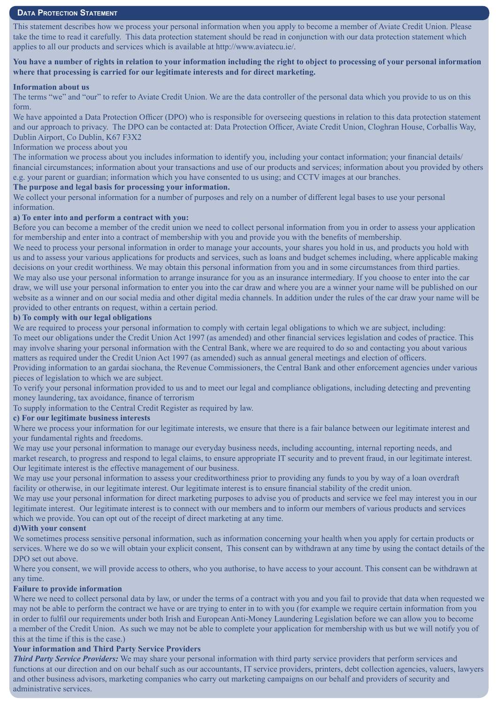#### **Data Protection Statement**

This statement describes how we process your personal information when you apply to become a member of Aviate Credit Union. Please take the time to read it carefully. This data protection statement should be read in conjunction with our data protection statement which applies to all our products and services which is available at http://www.aviatecu.ie/.

#### **You have a number of rights in relation to your information including the right to object to processing of your personal information where that processing is carried for our legitimate interests and for direct marketing.**

#### **Information about us**

The terms "we" and "our" to refer to Aviate Credit Union. We are the data controller of the personal data which you provide to us on this form.

We have appointed a Data Protection Officer (DPO) who is responsible for overseeing questions in relation to this data protection statement and our approach to privacy. The DPO can be contacted at: Data Protection Officer, Aviate Credit Union, Cloghran House, Corballis Way, Dublin Airport, Co Dublin, K67 F3X2

#### Information we process about you

The information we process about you includes information to identify you, including your contact information; your financial details/ financial circumstances; information about your transactions and use of our products and services; information about you provided by others e.g. your parent or guardian; information which you have consented to us using; and CCTV images at our branches.

#### **The purpose and legal basis for processing your information.**

We collect your personal information for a number of purposes and rely on a number of different legal bases to use your personal information.

#### **a) To enter into and perform a contract with you:**

Before you can become a member of the credit union we need to collect personal information from you in order to assess your application for membership and enter into a contract of membership with you and provide you with the benefits of membership.

We need to process your personal information in order to manage your accounts, your shares you hold in us, and products you hold with us and to assess your various applications for products and services, such as loans and budget schemes including, where applicable making decisions on your credit worthiness. We may obtain this personal information from you and in some circumstances from third parties. We may also use your personal information to arrange insurance for you as an insurance intermediary. If you choose to enter into the car draw, we will use your personal information to enter you into the car draw and where you are a winner your name will be published on our website as a winner and on our social media and other digital media channels. In addition under the rules of the car draw your name will be provided to other entrants on request, within a certain period.

#### **b) To comply with our legal obligations**

We are required to process your personal information to comply with certain legal obligations to which we are subject, including: To meet our obligations under the Credit Union Act 1997 (as amended) and other financial services legislation and codes of practice. This may involve sharing your personal information with the Central Bank, where we are required to do so and contacting you about various matters as required under the Credit Union Act 1997 (as amended) such as annual general meetings and election of officers.

Providing information to an gardai siochana, the Revenue Commissioners, the Central Bank and other enforcement agencies under various pieces of legislation to which we are subject.

To verify your personal information provided to us and to meet our legal and compliance obligations, including detecting and preventing money laundering, tax avoidance, finance of terrorism

To supply information to the Central Credit Register as required by law.

#### **c) For our legitimate business interests**

Where we process your information for our legitimate interests, we ensure that there is a fair balance between our legitimate interest and your fundamental rights and freedoms.

We may use your personal information to manage our everyday business needs, including accounting, internal reporting needs, and market research, to progress and respond to legal claims, to ensure appropriate IT security and to prevent fraud, in our legitimate interest. Our legitimate interest is the effective management of our business.

We may use your personal information to assess your creditworthiness prior to providing any funds to you by way of a loan overdraft facility or otherwise, in our legitimate interest. Our legitimate interest is to ensure financial stability of the credit union.

We may use your personal information for direct marketing purposes to advise you of products and service we feel may interest you in our legitimate interest. Our legitimate interest is to connect with our members and to inform our members of various products and services which we provide. You can opt out of the receipt of direct marketing at any time.

#### **d)With your consent**

We sometimes process sensitive personal information, such as information concerning your health when you apply for certain products or services. Where we do so we will obtain your explicit consent, This consent can by withdrawn at any time by using the contact details of the DPO set out above.

Where you consent, we will provide access to others, who you authorise, to have access to your account. This consent can be withdrawn at any time.

#### **Failure to provide information**

Where we need to collect personal data by law, or under the terms of a contract with you and you fail to provide that data when requested we may not be able to perform the contract we have or are trying to enter in to with you (for example we require certain information from you in order to fulfil our requirements under both Irish and European Anti-Money Laundering Legislation before we can allow you to become a member of the Credit Union. As such we may not be able to complete your application for membership with us but we will notify you of this at the time if this is the case.)

#### **Your information and Third Party Service Providers**

*Third Party Service Providers:* We may share your personal information with third party service providers that perform services and functions at our direction and on our behalf such as our accountants, IT service providers, printers, debt collection agencies, valuers, lawyers and other business advisors, marketing companies who carry out marketing campaigns on our behalf and providers of security and administrative services.